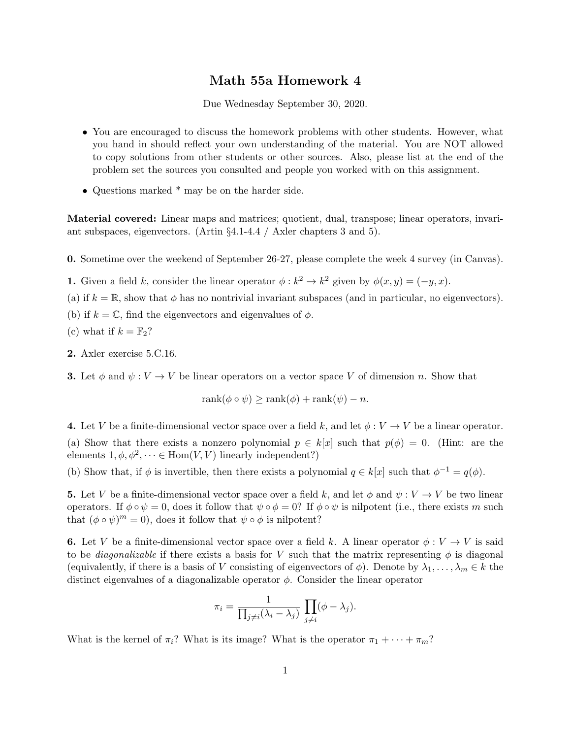## Math 55a Homework 4

Due Wednesday September 30, 2020.

- You are encouraged to discuss the homework problems with other students. However, what you hand in should reflect your own understanding of the material. You are NOT allowed to copy solutions from other students or other sources. Also, please list at the end of the problem set the sources you consulted and people you worked with on this assignment.
- Questions marked \* may be on the harder side.

Material covered: Linear maps and matrices; quotient, dual, transpose; linear operators, invariant subspaces, eigenvectors. (Artin §4.1-4.4 / Axler chapters 3 and 5).

0. Sometime over the weekend of September 26-27, please complete the week 4 survey (in Canvas).

**1.** Given a field k, consider the linear operator  $\phi : k^2 \to k^2$  given by  $\phi(x, y) = (-y, x)$ .

- (a) if  $k = \mathbb{R}$ , show that  $\phi$  has no nontrivial invariant subspaces (and in particular, no eigenvectors).
- (b) if  $k = \mathbb{C}$ , find the eigenvectors and eigenvalues of  $\phi$ .
- (c) what if  $k = \mathbb{F}_2$ ?
- 2. Axler exercise 5.C.16.

**3.** Let  $\phi$  and  $\psi: V \to V$  be linear operators on a vector space V of dimension n. Show that

 $rank(\phi \circ \psi) > rank(\phi) + rank(\psi) - n.$ 

4. Let V be a finite-dimensional vector space over a field k, and let  $\phi: V \to V$  be a linear operator. (a) Show that there exists a nonzero polynomial  $p \in k[x]$  such that  $p(\phi) = 0$ . (Hint: are the elements  $1, \phi, \phi^2, \dots \in \text{Hom}(V, V)$  linearly independent?)

(b) Show that, if  $\phi$  is invertible, then there exists a polynomial  $q \in k[x]$  such that  $\phi^{-1} = q(\phi)$ .

**5.** Let V be a finite-dimensional vector space over a field k, and let  $\phi$  and  $\psi: V \to V$  be two linear operators. If  $\phi \circ \psi = 0$ , does it follow that  $\psi \circ \phi = 0$ ? If  $\phi \circ \psi$  is nilpotent (i.e., there exists m such that  $(\phi \circ \psi)^m = 0$ , does it follow that  $\psi \circ \phi$  is nilpotent?

6. Let V be a finite-dimensional vector space over a field k. A linear operator  $\phi: V \to V$  is said to be *diagonalizable* if there exists a basis for V such that the matrix representing  $\phi$  is diagonal (equivalently, if there is a basis of V consisting of eigenvectors of  $\phi$ ). Denote by  $\lambda_1, \ldots, \lambda_m \in k$  the distinct eigenvalues of a diagonalizable operator  $\phi$ . Consider the linear operator

$$
\pi_i = \frac{1}{\prod_{j \neq i} (\lambda_i - \lambda_j)} \prod_{j \neq i} (\phi - \lambda_j).
$$

What is the kernel of  $\pi_i$ ? What is its image? What is the operator  $\pi_1 + \cdots + \pi_m$ ?